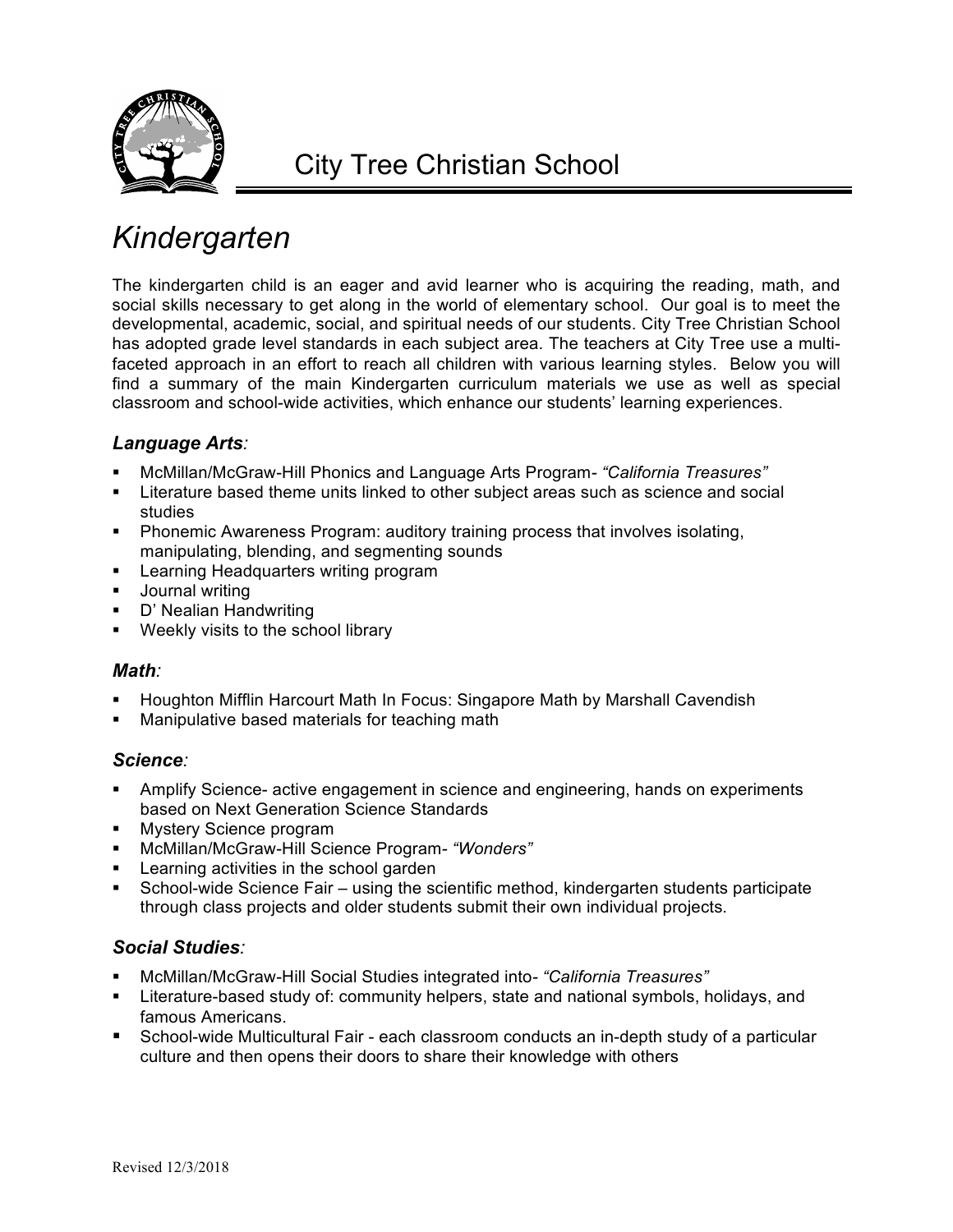

## *Kindergarten*

The kindergarten child is an eager and avid learner who is acquiring the reading, math, and social skills necessary to get along in the world of elementary school. Our goal is to meet the developmental, academic, social, and spiritual needs of our students. City Tree Christian School has adopted grade level standards in each subject area. The teachers at City Tree use a multifaceted approach in an effort to reach all children with various learning styles. Below you will find a summary of the main Kindergarten curriculum materials we use as well as special classroom and school-wide activities, which enhance our students' learning experiences.

## *Language Arts:*

- § McMillan/McGraw-Hill Phonics and Language Arts Program*- "California Treasures"*
- **EXECT** Literature based theme units linked to other subject areas such as science and social studies
- Phonemic Awareness Program: auditory training process that involves isolating, manipulating, blending, and segmenting sounds
- Learning Headquarters writing program
- § Journal writing
- § D' Nealian Handwriting
- Weekly visits to the school library

## *Math:*

- § Houghton Mifflin Harcourt Math In Focus: Singapore Math by Marshall Cavendish
- Manipulative based materials for teaching math

## *Science:*

- Amplify Science- active engagement in science and engineering, hands on experiments based on Next Generation Science Standards
- Mystery Science program
- § McMillan/McGraw-Hill Science Program*- "Wonders"*
- Learning activities in the school garden
- § School-wide Science Fair using the scientific method, kindergarten students participate through class projects and older students submit their own individual projects.

## *Social Studies:*

- § McMillan/McGraw-Hill Social Studies integrated into*- "California Treasures"*
- § Literature-based study of: community helpers, state and national symbols, holidays, and famous Americans.
- § School-wide Multicultural Fair each classroom conducts an in-depth study of a particular culture and then opens their doors to share their knowledge with others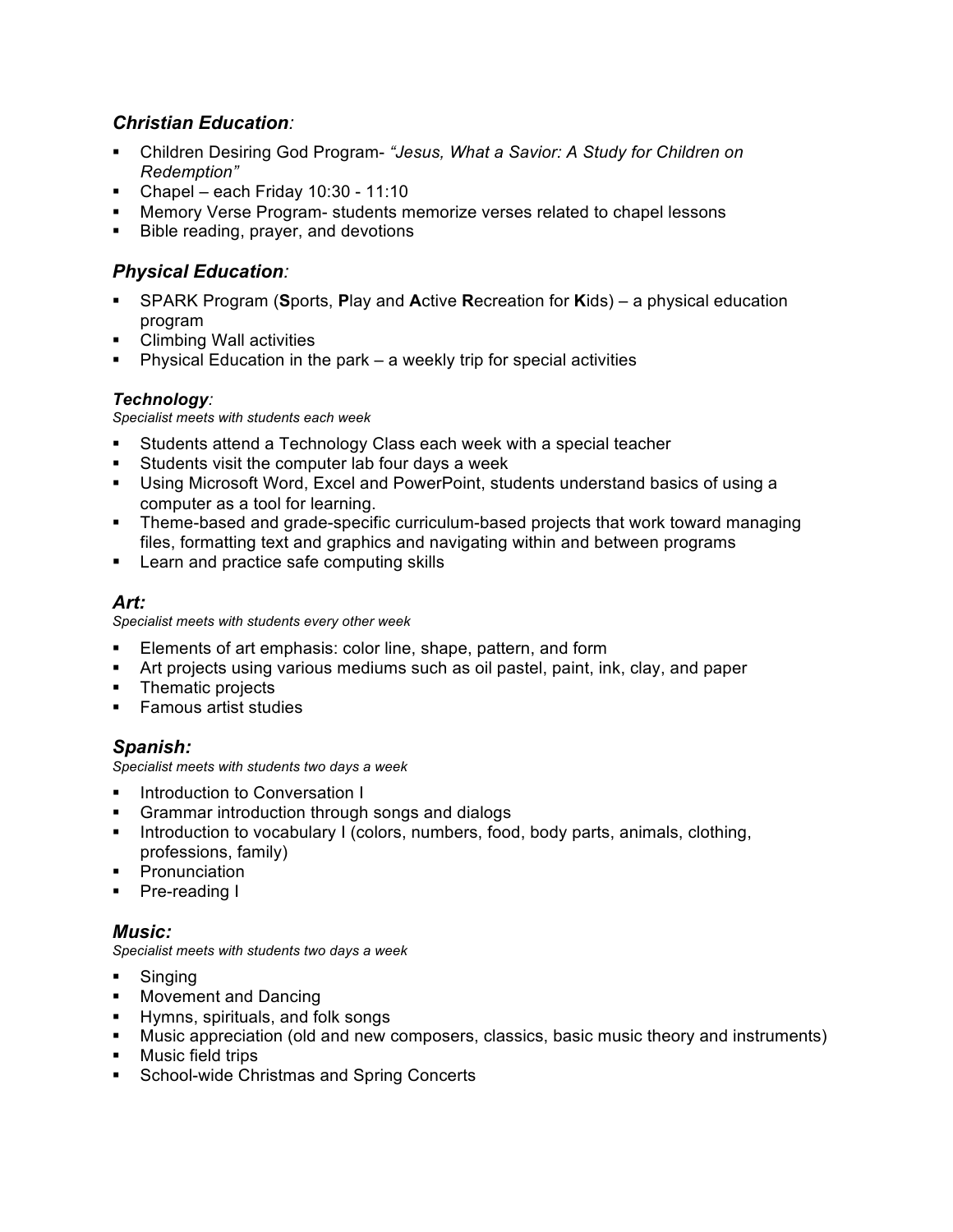## *Christian Education:*

- § Children Desiring God Program- *"Jesus, What a Savior: A Study for Children on Redemption"*
- § Chapel each Friday 10:30 11:10
- § Memory Verse Program- students memorize verses related to chapel lessons
- Bible reading, prayer, and devotions

## *Physical Education:*

- § SPARK Program (**S**ports, **P**lay and **A**ctive **R**ecreation for **K**ids) a physical education program
- § Climbing Wall activities
- Physical Education in the park a weekly trip for special activities

### *Technology:*

*Specialist meets with students each week*

- Students attend a Technology Class each week with a special teacher
- § Students visit the computer lab four days a week
- § Using Microsoft Word, Excel and PowerPoint, students understand basics of using a computer as a tool for learning.
- Theme-based and grade-specific curriculum-based projects that work toward managing files, formatting text and graphics and navigating within and between programs
- Learn and practice safe computing skills

## *Art:*

*Specialist meets with students every other week*

- Elements of art emphasis: color line, shape, pattern, and form
- **•** Art projects using various mediums such as oil pastel, paint, ink, clay, and paper
- § Thematic projects
- Famous artist studies

## *Spanish:*

*Specialist meets with students two days a week*

- Introduction to Conversation I
- § Grammar introduction through songs and dialogs
- Introduction to vocabulary I (colors, numbers, food, body parts, animals, clothing, professions, family)
- **Pronunciation**
- § Pre-reading I

## *Music:*

*Specialist meets with students two days a week*

- § Singing
- Movement and Dancing
- § Hymns, spirituals, and folk songs
- § Music appreciation (old and new composers, classics, basic music theory and instruments)
- **•** Music field trips
- § School-wide Christmas and Spring Concerts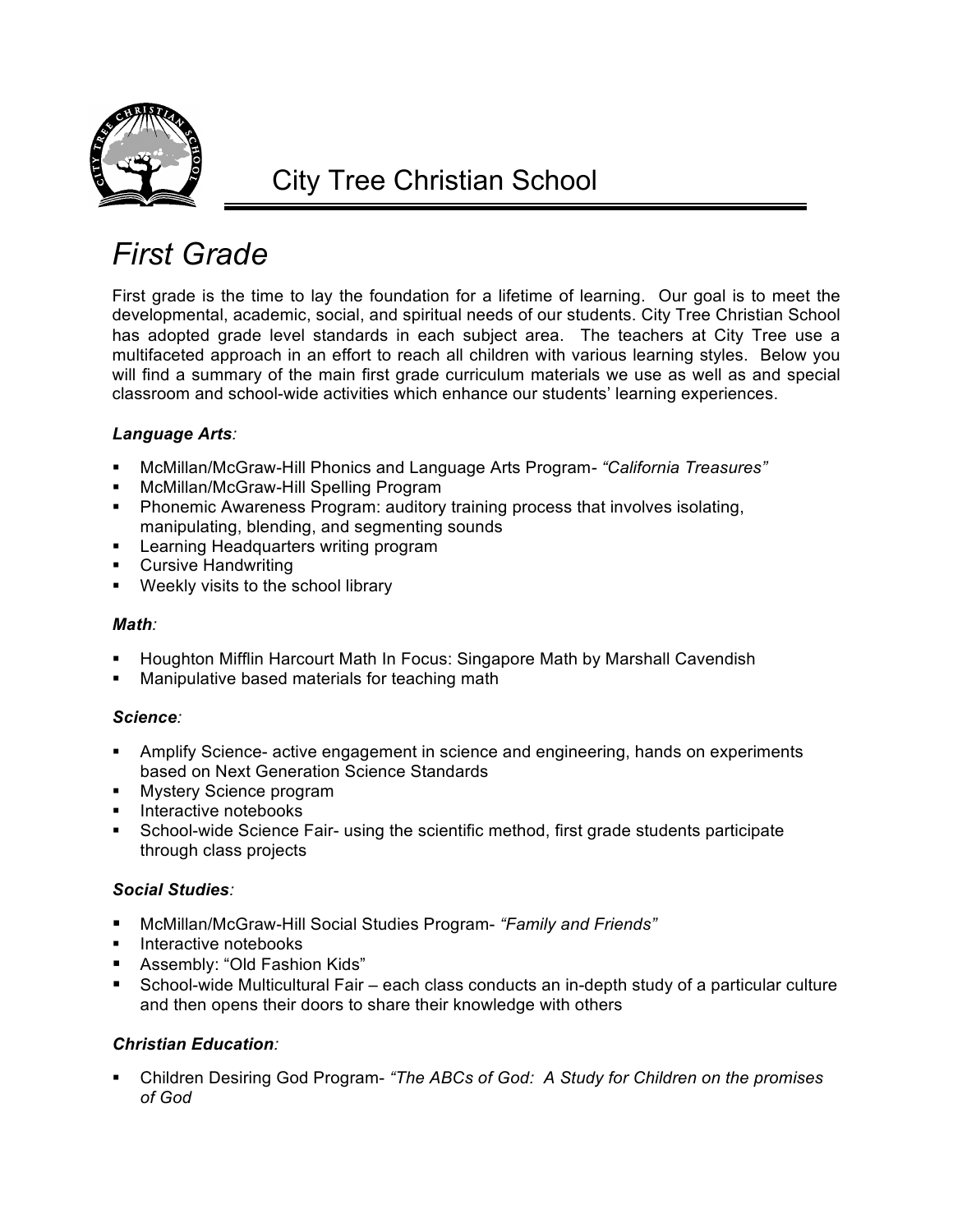

# *First Grade*

First grade is the time to lay the foundation for a lifetime of learning. Our goal is to meet the developmental, academic, social, and spiritual needs of our students. City Tree Christian School has adopted grade level standards in each subject area. The teachers at City Tree use a multifaceted approach in an effort to reach all children with various learning styles. Below you will find a summary of the main first grade curriculum materials we use as well as and special classroom and school-wide activities which enhance our students' learning experiences.

## *Language Arts:*

- § McMillan/McGraw-Hill Phonics and Language Arts Program*- "California Treasures"*
- § McMillan/McGraw-Hill Spelling Program
- Phonemic Awareness Program: auditory training process that involves isolating, manipulating, blending, and segmenting sounds
- Learning Headquarters writing program
- Cursive Handwriting
- Weekly visits to the school library

#### *Math:*

- § Houghton Mifflin Harcourt Math In Focus: Singapore Math by Marshall Cavendish
- Manipulative based materials for teaching math

#### *Science:*

- Amplify Science- active engagement in science and engineering, hands on experiments based on Next Generation Science Standards
- **Mystery Science program**
- § Interactive notebooks
- School-wide Science Fair- using the scientific method, first grade students participate through class projects

#### *Social Studies:*

- § McMillan/McGraw-Hill Social Studies Program- *"Family and Friends"*
- Interactive notebooks
- Assembly: "Old Fashion Kids"
- § School-wide Multicultural Fair each class conducts an in-depth study of a particular culture and then opens their doors to share their knowledge with others

## *Christian Education:*

§ Children Desiring God Program- *"The ABCs of God: A Study for Children on the promises of God*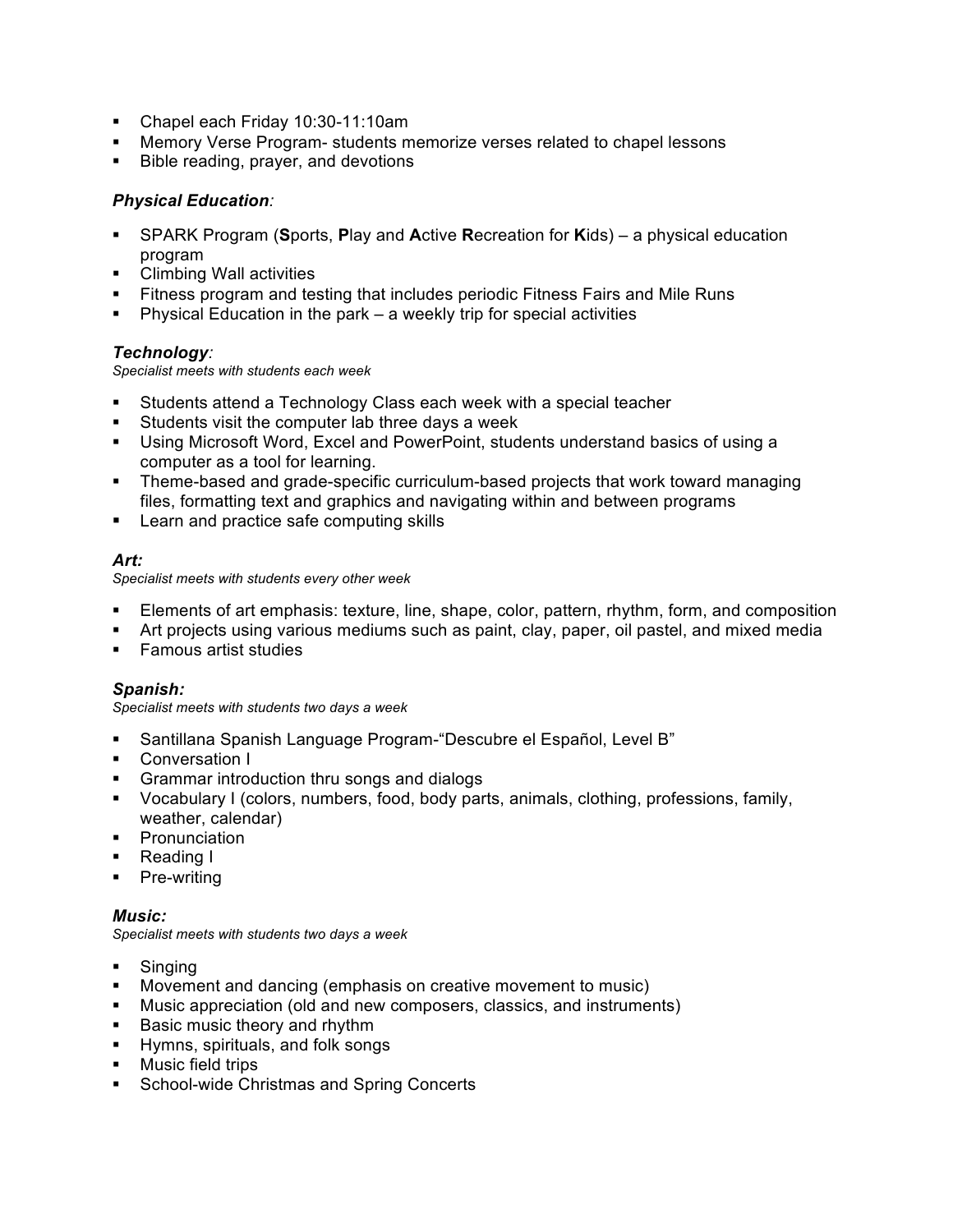- Chapel each Friday 10:30-11:10am
- Memory Verse Program- students memorize verses related to chapel lessons
- Bible reading, prayer, and devotions

- § SPARK Program (**S**ports, **P**lay and **A**ctive **R**ecreation for **K**ids) a physical education program
- Climbing Wall activities
- Fitness program and testing that includes periodic Fitness Fairs and Mile Runs
- **•** Physical Education in the park  $-$  a weekly trip for special activities

#### *Technology:*

*Specialist meets with students each week*

- § Students attend a Technology Class each week with a special teacher
- Students visit the computer lab three days a week
- § Using Microsoft Word, Excel and PowerPoint, students understand basics of using a computer as a tool for learning.
- Theme-based and grade-specific curriculum-based projects that work toward managing files, formatting text and graphics and navigating within and between programs
- Learn and practice safe computing skills

#### *Art:*

*Specialist meets with students every other week*

- § Elements of art emphasis: texture, line, shape, color, pattern, rhythm, form, and composition
- § Art projects using various mediums such as paint, clay, paper, oil pastel, and mixed media
- Famous artist studies

#### *Spanish:*

*Specialist meets with students two days a week*

- § Santillana Spanish Language Program-"Descubre el Español, Level B"
- Conversation I
- § Grammar introduction thru songs and dialogs
- § Vocabulary I (colors, numbers, food, body parts, animals, clothing, professions, family, weather, calendar)
- **•** Pronunciation
- Reading I
- Pre-writing

#### *Music:*

*Specialist meets with students two days a week*

- § Singing
- § Movement and dancing (emphasis on creative movement to music)
- § Music appreciation (old and new composers, classics, and instruments)
- Basic music theory and rhythm
- § Hymns, spirituals, and folk songs
- **•** Music field trips
- School-wide Christmas and Spring Concerts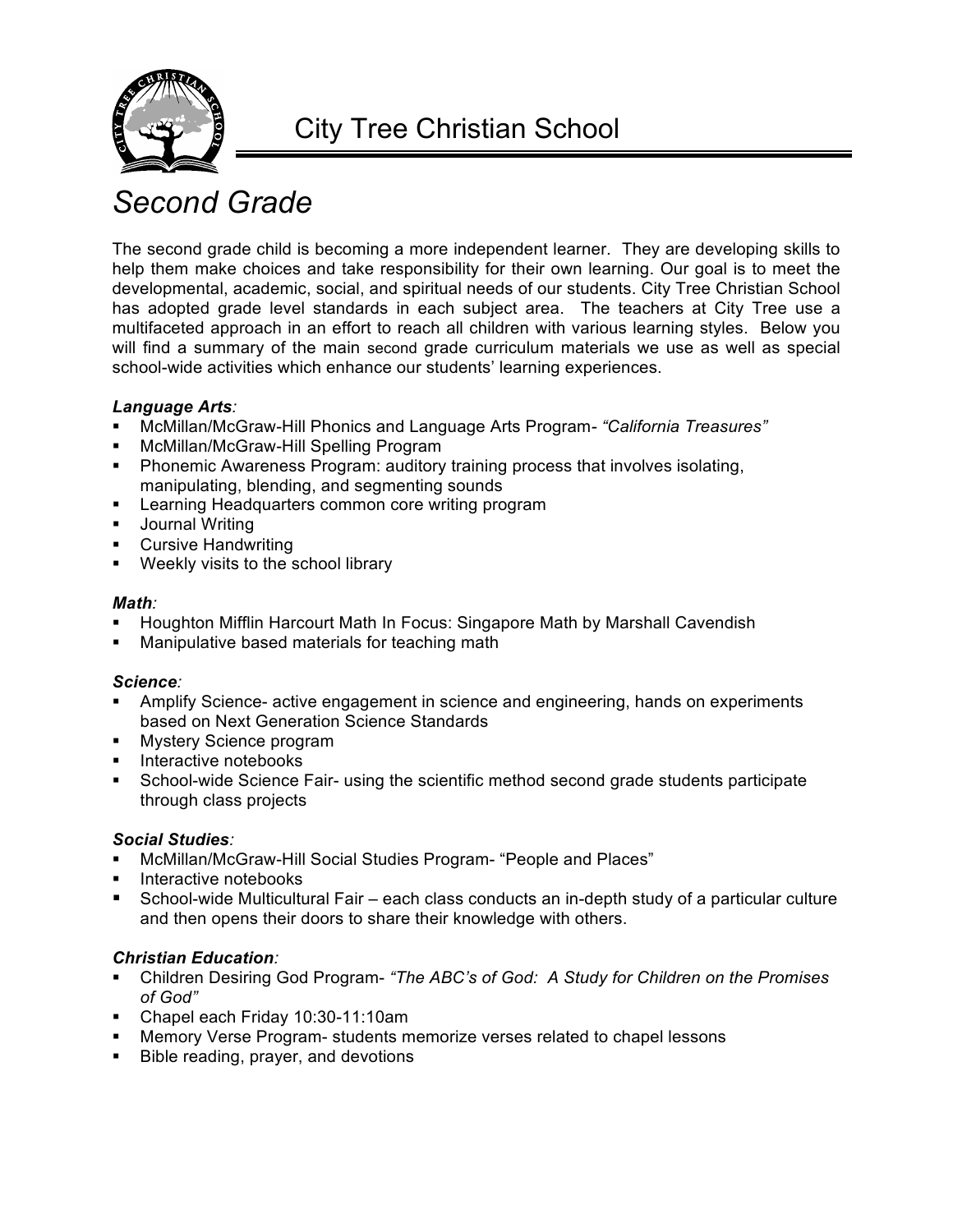

# *Second Grade*

The second grade child is becoming a more independent learner. They are developing skills to help them make choices and take responsibility for their own learning. Our goal is to meet the developmental, academic, social, and spiritual needs of our students. City Tree Christian School has adopted grade level standards in each subject area. The teachers at City Tree use a multifaceted approach in an effort to reach all children with various learning styles. Below you will find a summary of the main second grade curriculum materials we use as well as special school-wide activities which enhance our students' learning experiences.

### *Language Arts:*

- § McMillan/McGraw-Hill Phonics and Language Arts Program*- "California Treasures"*
- § McMillan/McGraw-Hill Spelling Program
- Phonemic Awareness Program: auditory training process that involves isolating, manipulating, blending, and segmenting sounds
- Learning Headquarters common core writing program
- Journal Writing
- Cursive Handwriting
- Weekly visits to the school library

### *Math:*

- § Houghton Mifflin Harcourt Math In Focus: Singapore Math by Marshall Cavendish
- Manipulative based materials for teaching math

#### *Science:*

- **Amplify Science- active engagement in science and engineering, hands on experiments** based on Next Generation Science Standards
- **Mystery Science program**
- § Interactive notebooks
- School-wide Science Fair- using the scientific method second grade students participate through class projects

#### *Social Studies:*

- § McMillan/McGraw-Hill Social Studies Program- "People and Places"
- § Interactive notebooks
- § School-wide Multicultural Fair each class conducts an in-depth study of a particular culture and then opens their doors to share their knowledge with others.

- § Children Desiring God Program- *"The ABC's of God: A Study for Children on the Promises of God"*
- § Chapel each Friday 10:30-11:10am
- § Memory Verse Program- students memorize verses related to chapel lessons
- § Bible reading, prayer, and devotions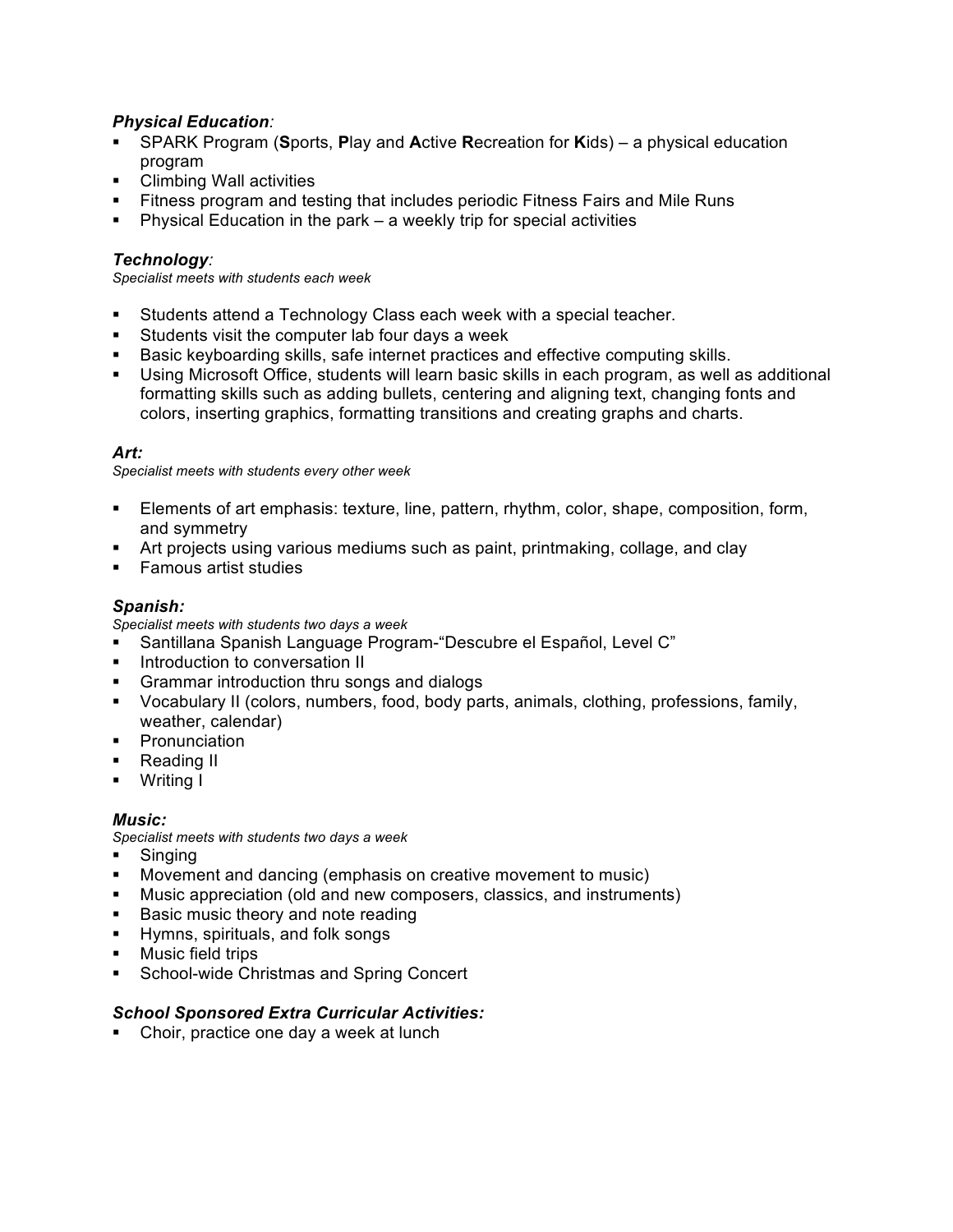- § SPARK Program (**S**ports, **P**lay and **A**ctive **R**ecreation for **K**ids) a physical education program
- Climbing Wall activities
- § Fitness program and testing that includes periodic Fitness Fairs and Mile Runs
- § Physical Education in the park a weekly trip for special activities

#### *Technology:*

*Specialist meets with students each week*

- § Students attend a Technology Class each week with a special teacher.
- Students visit the computer lab four days a week
- **Basic keyboarding skills, safe internet practices and effective computing skills.**
- Using Microsoft Office, students will learn basic skills in each program, as well as additional formatting skills such as adding bullets, centering and aligning text, changing fonts and colors, inserting graphics, formatting transitions and creating graphs and charts.

#### *Art:*

*Specialist meets with students every other week*

- § Elements of art emphasis: texture, line, pattern, rhythm, color, shape, composition, form, and symmetry
- § Art projects using various mediums such as paint, printmaking, collage, and clay
- Famous artist studies

#### *Spanish:*

*Specialist meets with students two days a week*

- § Santillana Spanish Language Program-"Descubre el Español, Level C"
- **•** Introduction to conversation II
- § Grammar introduction thru songs and dialogs
- § Vocabulary II (colors, numbers, food, body parts, animals, clothing, professions, family, weather, calendar)
- **•** Pronunciation
- Reading II
- § Writing I

#### *Music:*

*Specialist meets with students two days a week*

- § Singing
- § Movement and dancing (emphasis on creative movement to music)
- § Music appreciation (old and new composers, classics, and instruments)
- Basic music theory and note reading
- § Hymns, spirituals, and folk songs
- Music field trips
- School-wide Christmas and Spring Concert

#### *School Sponsored Extra Curricular Activities:*

• Choir, practice one day a week at lunch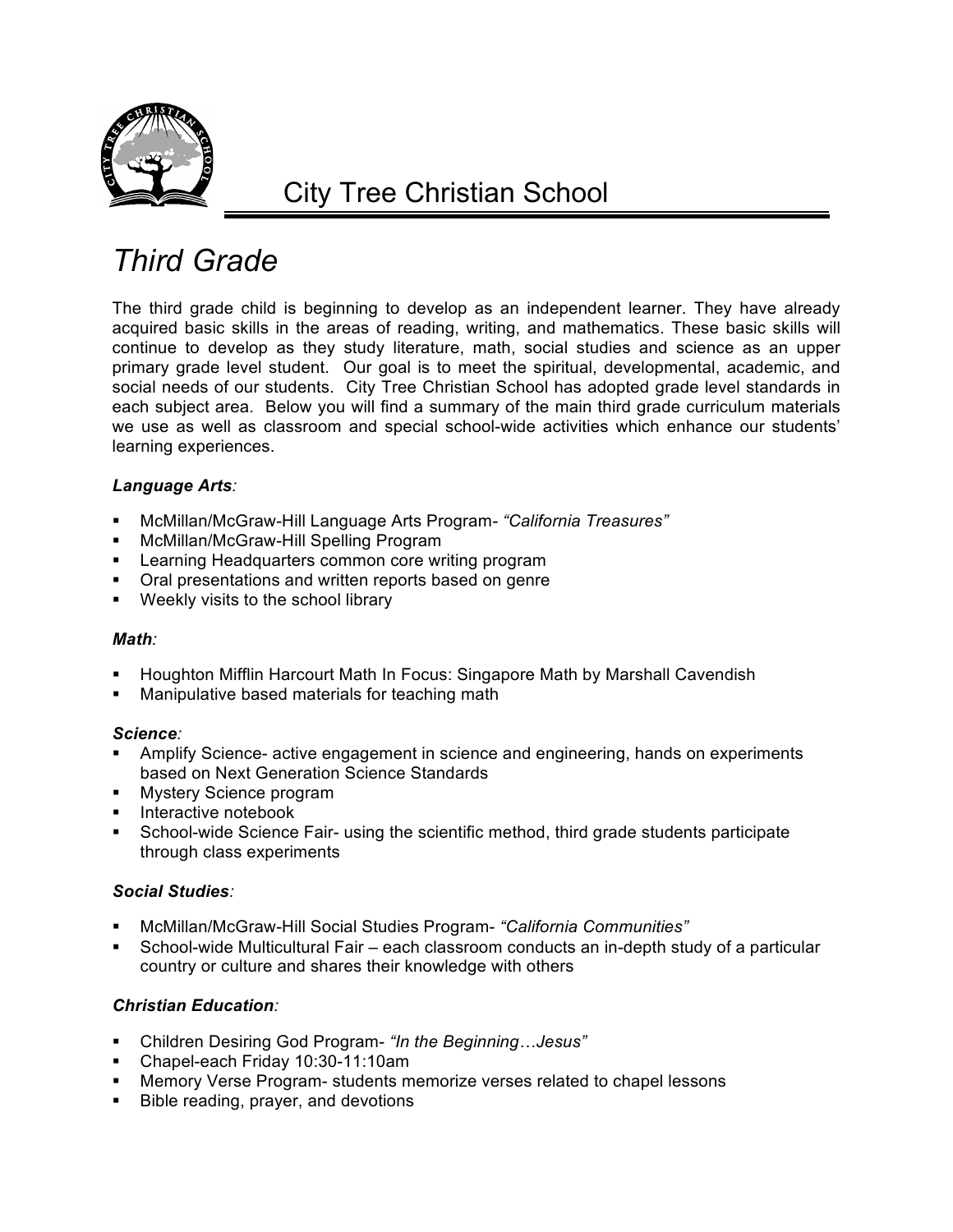

## *Third Grade*

The third grade child is beginning to develop as an independent learner. They have already acquired basic skills in the areas of reading, writing, and mathematics. These basic skills will continue to develop as they study literature, math, social studies and science as an upper primary grade level student. Our goal is to meet the spiritual, developmental, academic, and social needs of our students. City Tree Christian School has adopted grade level standards in each subject area. Below you will find a summary of the main third grade curriculum materials we use as well as classroom and special school-wide activities which enhance our students' learning experiences.

#### *Language Arts:*

- § McMillan/McGraw-Hill Language Arts Program*- "California Treasures"*
- § McMillan/McGraw-Hill Spelling Program
- Learning Headquarters common core writing program
- § Oral presentations and written reports based on genre
- Weekly visits to the school library

#### *Math:*

- § Houghton Mifflin Harcourt Math In Focus: Singapore Math by Marshall Cavendish
- Manipulative based materials for teaching math

#### *Science:*

- Amplify Science- active engagement in science and engineering, hands on experiments based on Next Generation Science Standards
- **Mystery Science program**
- **•** Interactive notebook
- § School-wide Science Fair- using the scientific method, third grade students participate through class experiments

#### *Social Studies:*

- § McMillan/McGraw-Hill Social Studies Program- *"California Communities"*
- § School-wide Multicultural Fair each classroom conducts an in-depth study of a particular country or culture and shares their knowledge with others

- § Children Desiring God Program- *"In the Beginning…Jesus"*
- § Chapel-each Friday 10:30-11:10am
- Memory Verse Program- students memorize verses related to chapel lessons
- Bible reading, prayer, and devotions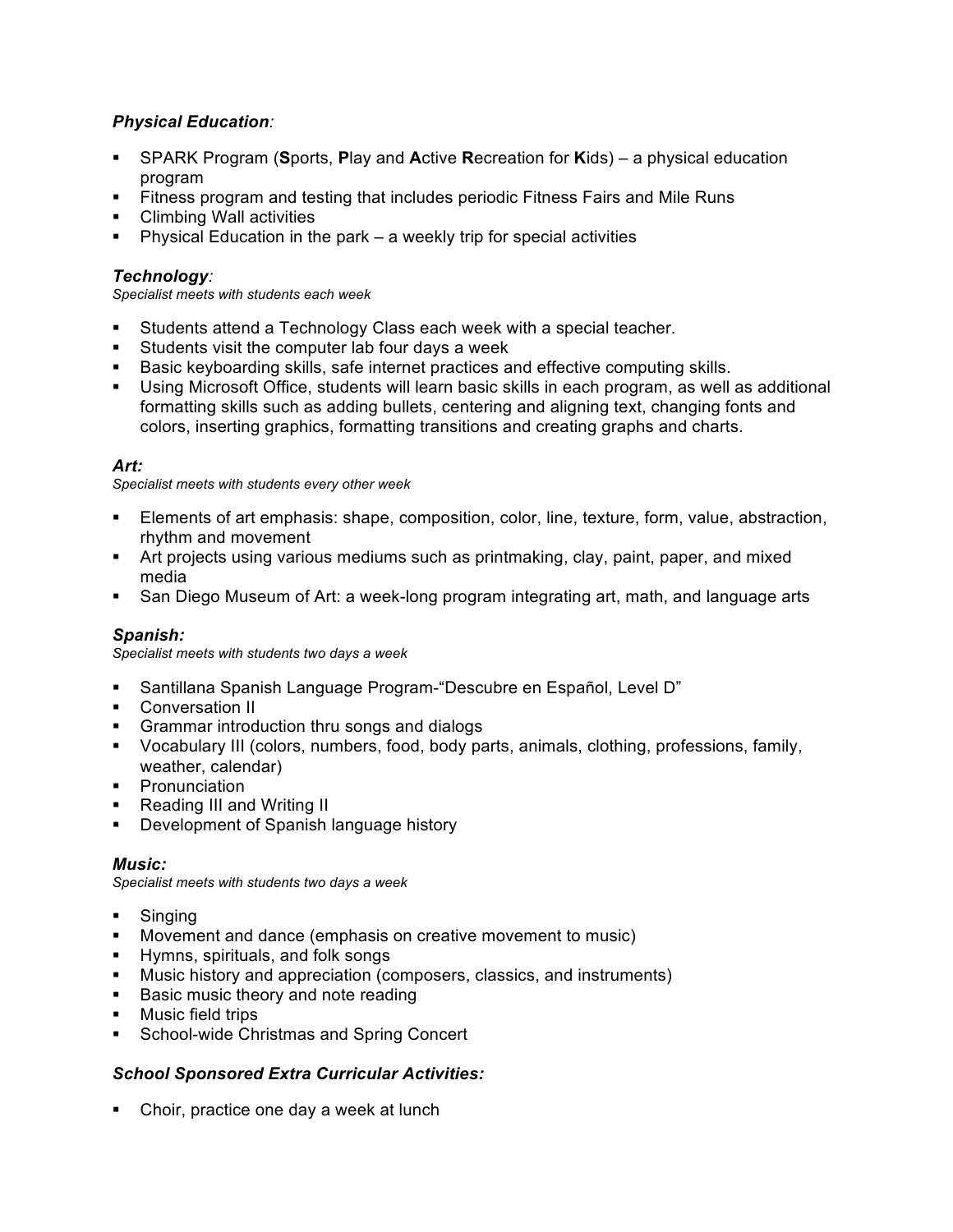- § SPARK Program (**S**ports, **P**lay and **A**ctive **R**ecreation for **K**ids) a physical education program
- § Fitness program and testing that includes periodic Fitness Fairs and Mile Runs
- Climbing Wall activities
- § Physical Education in the park a weekly trip for special activities

#### *Technology:*

*Specialist meets with students each week*

- § Students attend a Technology Class each week with a special teacher.
- Students visit the computer lab four days a week
- § Basic keyboarding skills, safe internet practices and effective computing skills.
- § Using Microsoft Office, students will learn basic skills in each program, as well as additional formatting skills such as adding bullets, centering and aligning text, changing fonts and colors, inserting graphics, formatting transitions and creating graphs and charts.

#### *Art:*

*Specialist meets with students every other week*

- Elements of art emphasis: shape, composition, color, line, texture, form, value, abstraction, rhythm and movement
- Art projects using various mediums such as printmaking, clay, paint, paper, and mixed media
- San Diego Museum of Art: a week-long program integrating art, math, and language arts

#### *Spanish:*

*Specialist meets with students two days a week*

- § Santillana Spanish Language Program-"Descubre en Español, Level D"
- Conversation II
- § Grammar introduction thru songs and dialogs
- § Vocabulary III (colors, numbers, food, body parts, animals, clothing, professions, family, weather, calendar)
- **•** Pronunciation
- Reading III and Writing II
- **Development of Spanish language history**

#### *Music:*

*Specialist meets with students two days a week*

- § Singing
- § Movement and dance (emphasis on creative movement to music)
- § Hymns, spirituals, and folk songs
- § Music history and appreciation (composers, classics, and instruments)
- Basic music theory and note reading
- **•** Music field trips
- School-wide Christmas and Spring Concert

#### *School Sponsored Extra Curricular Activities:*

• Choir, practice one day a week at lunch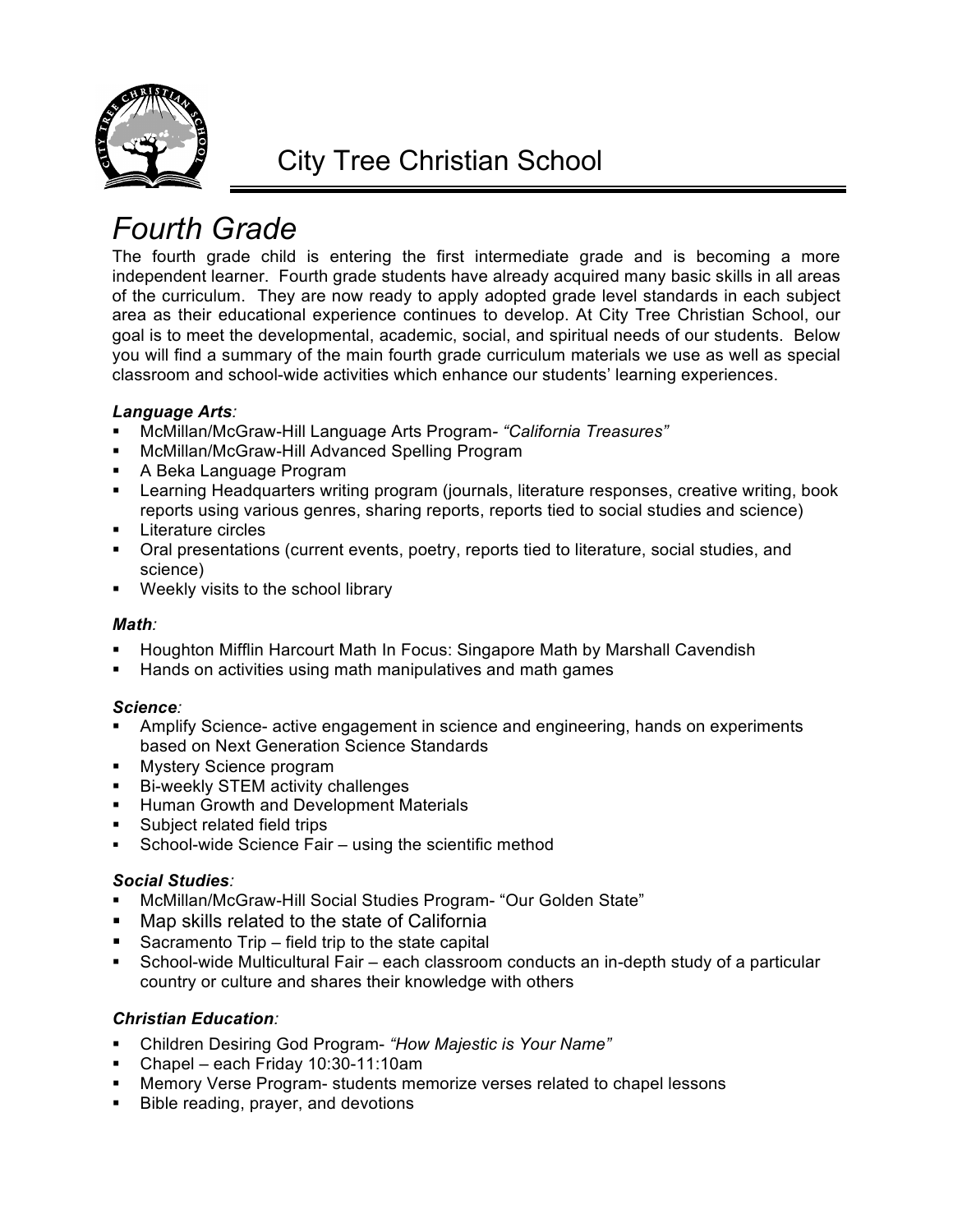

## *Fourth Grade*

The fourth grade child is entering the first intermediate grade and is becoming a more independent learner. Fourth grade students have already acquired many basic skills in all areas of the curriculum. They are now ready to apply adopted grade level standards in each subject area as their educational experience continues to develop. At City Tree Christian School, our goal is to meet the developmental, academic, social, and spiritual needs of our students. Below you will find a summary of the main fourth grade curriculum materials we use as well as special classroom and school-wide activities which enhance our students' learning experiences.

#### *Language Arts:*

- § McMillan/McGraw-Hill Language Arts Program*- "California Treasures"*
- § McMillan/McGraw-Hill Advanced Spelling Program
- A Beka Language Program
- § Learning Headquarters writing program (journals, literature responses, creative writing, book reports using various genres, sharing reports, reports tied to social studies and science)
- § Literature circles
- Oral presentations (current events, poetry, reports tied to literature, social studies, and science)
- **•** Weekly visits to the school library

#### *Math:*

- § Houghton Mifflin Harcourt Math In Focus: Singapore Math by Marshall Cavendish
- § Hands on activities using math manipulatives and math games

#### *Science:*

- Amplify Science- active engagement in science and engineering, hands on experiments based on Next Generation Science Standards
- **■** Mystery Science program
- Bi-weekly STEM activity challenges
- **Human Growth and Development Materials**
- Subject related field trips
- School-wide Science Fair using the scientific method

#### *Social Studies:*

- McMillan/McGraw-Hill Social Studies Program- "Our Golden State"
- Map skills related to the state of California
- § Sacramento Trip field trip to the state capital
- School-wide Multicultural Fair each classroom conducts an in-depth study of a particular country or culture and shares their knowledge with others

- § Children Desiring God Program- *"How Majestic is Your Name"*
- § Chapel each Friday 10:30-11:10am
- § Memory Verse Program- students memorize verses related to chapel lessons
- Bible reading, prayer, and devotions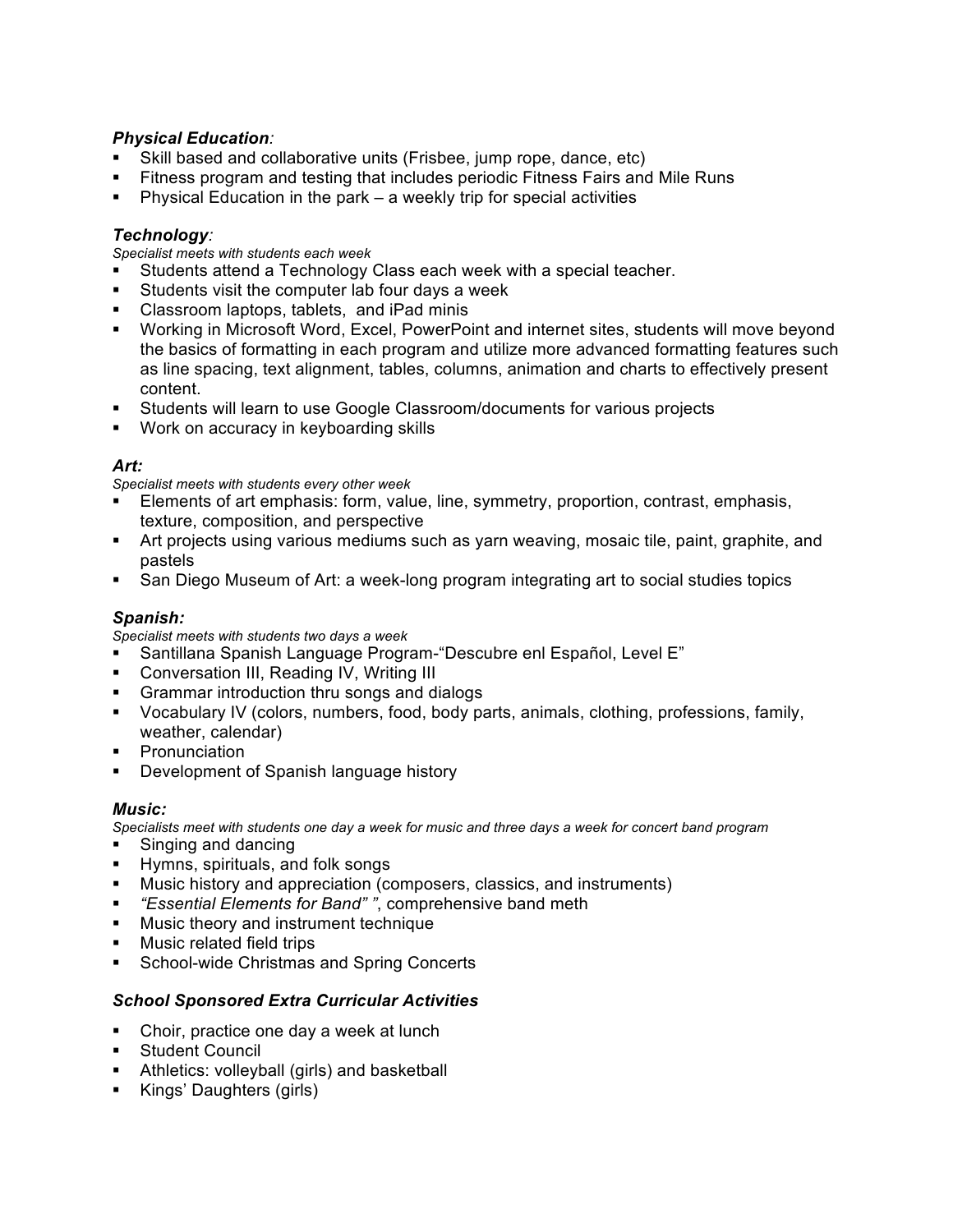- Skill based and collaborative units (Frisbee, jump rope, dance, etc)
- § Fitness program and testing that includes periodic Fitness Fairs and Mile Runs
- § Physical Education in the park a weekly trip for special activities

### *Technology:*

*Specialist meets with students each week*

- § Students attend a Technology Class each week with a special teacher.
- § Students visit the computer lab four days a week
- § Classroom laptops, tablets, and iPad minis
- § Working in Microsoft Word, Excel, PowerPoint and internet sites, students will move beyond the basics of formatting in each program and utilize more advanced formatting features such as line spacing, text alignment, tables, columns, animation and charts to effectively present content.
- § Students will learn to use Google Classroom/documents for various projects
- Work on accuracy in keyboarding skills

#### *Art:*

*Specialist meets with students every other week*

- § Elements of art emphasis: form, value, line, symmetry, proportion, contrast, emphasis, texture, composition, and perspective
- Art projects using various mediums such as yarn weaving, mosaic tile, paint, graphite, and pastels
- San Diego Museum of Art: a week-long program integrating art to social studies topics

#### *Spanish:*

*Specialist meets with students two days a week*

- § Santillana Spanish Language Program-"Descubre enl Español, Level E"
- Conversation III, Reading IV, Writing III
- § Grammar introduction thru songs and dialogs
- § Vocabulary IV (colors, numbers, food, body parts, animals, clothing, professions, family, weather, calendar)
- Pronunciation
- **Development of Spanish language history**

#### *Music:*

*Specialists meet with students one day a week for music and three days a week for concert band program*

- § Singing and dancing
- § Hymns, spirituals, and folk songs
- Music history and appreciation (composers, classics, and instruments)
- § *"Essential Elements for Band" "*, comprehensive band meth
- Music theory and instrument technique
- § Music related field trips
- § School-wide Christmas and Spring Concerts

#### *School Sponsored Extra Curricular Activities*

- § Choir, practice one day a week at lunch
- § Student Council
- **EXTERGIVER Athletics: volleyball (girls) and basketball**
- Kings' Daughters (girls)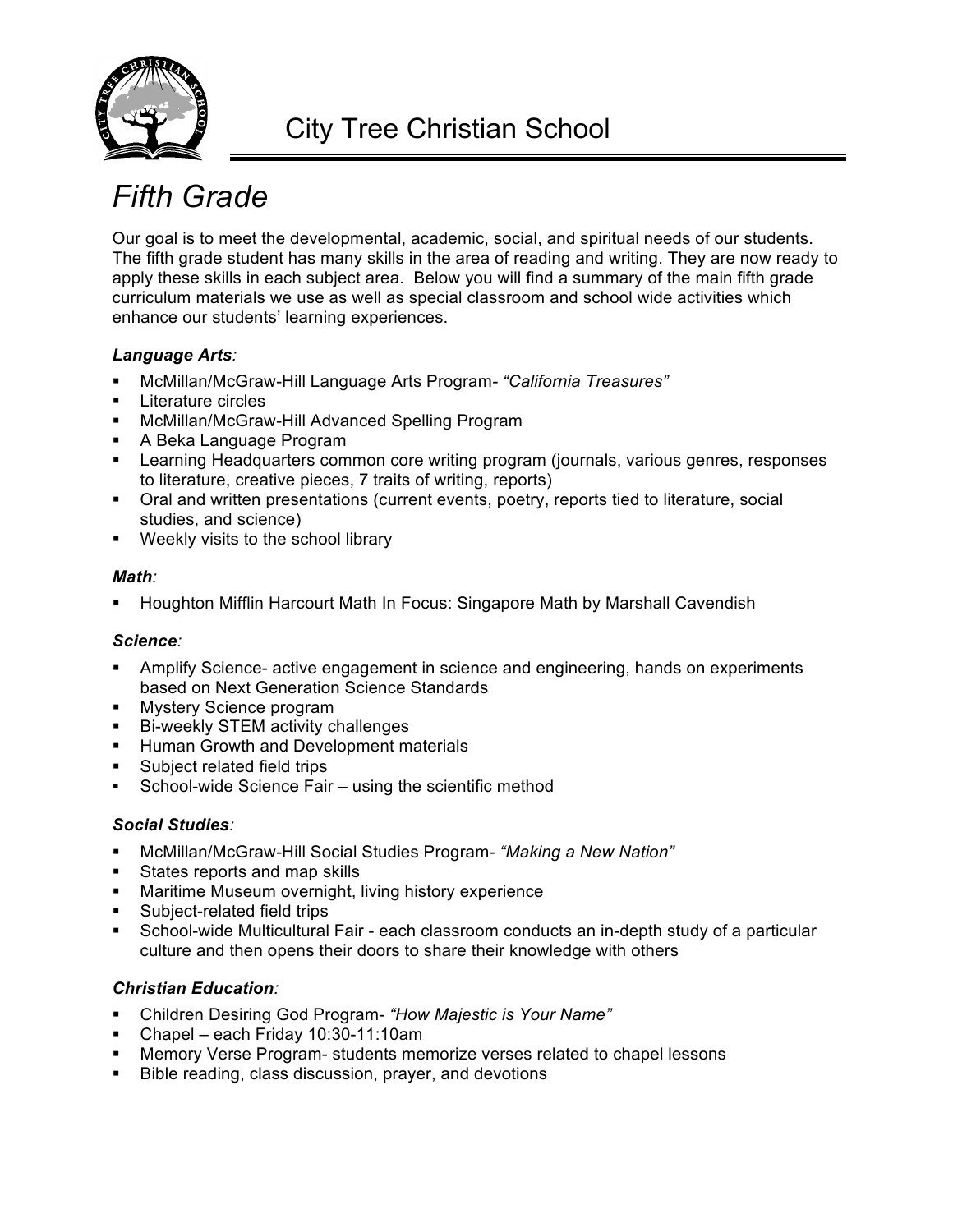

# *Fifth Grade*

Our goal is to meet the developmental, academic, social, and spiritual needs of our students. The fifth grade student has many skills in the area of reading and writing. They are now ready to apply these skills in each subject area. Below you will find a summary of the main fifth grade curriculum materials we use as well as special classroom and school wide activities which enhance our students' learning experiences.

### *Language Arts:*

- § McMillan/McGraw-Hill Language Arts Program*- "California Treasures"*
- § Literature circles
- McMillan/McGraw-Hill Advanced Spelling Program
- A Beka Language Program
- § Learning Headquarters common core writing program (journals, various genres, responses to literature, creative pieces, 7 traits of writing, reports)
- § Oral and written presentations (current events, poetry, reports tied to literature, social studies, and science)
- **•** Weekly visits to the school library

#### *Math:*

§ Houghton Mifflin Harcourt Math In Focus: Singapore Math by Marshall Cavendish

#### *Science:*

- Amplify Science- active engagement in science and engineering, hands on experiments based on Next Generation Science Standards
- § Mystery Science program
- Bi-weekly STEM activity challenges
- **Human Growth and Development materials**
- Subject related field trips
- School-wide Science Fair using the scientific method

#### *Social Studies:*

- § McMillan/McGraw-Hill Social Studies Program- *"Making a New Nation"*
- § States reports and map skills
- Maritime Museum overnight, living history experience
- § Subject-related field trips
- § School-wide Multicultural Fair each classroom conducts an in-depth study of a particular culture and then opens their doors to share their knowledge with others

- § Children Desiring God Program- *"How Majestic is Your Name"*
- § Chapel each Friday 10:30-11:10am
- § Memory Verse Program- students memorize verses related to chapel lessons
- Bible reading, class discussion, prayer, and devotions